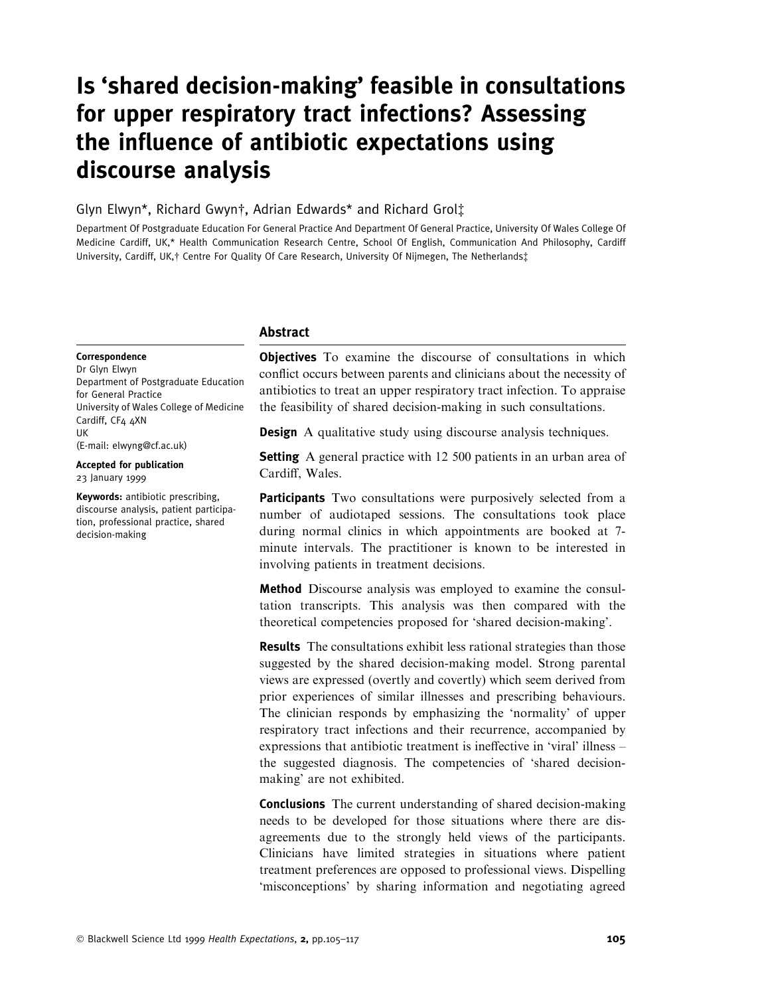# Is `shared decision-making' feasible in consultations for upper respiratory tract infections? Assessing the influence of antibiotic expectations using discourse analysis

## Glyn Elwyn\*, Richard Gwyn†, Adrian Edwards\* and Richard Grol‡

Department Of Postgraduate Education For General Practice And Department Of General Practice, University Of Wales College Of Medicine Cardiff, UK,\* Health Communication Research Centre, School Of English, Communication And Philosophy, Cardiff University, Cardiff, UK, † Centre For Quality Of Care Research, University Of Nijmegen, The Netherlands‡

#### Abstract

#### Correspondence

Dr Glyn Elwyn Department of Postgraduate Education for General Practice University of Wales College of Medicine Cardiff, CF4 4XN UK (E-mail: elwyng@cf.ac.uk)

Accepted for publication 23 January 1999

Keywords: antibiotic prescribing, discourse analysis, patient participation, professional practice, shared decision-making

**Objectives** To examine the discourse of consultations in which conflict occurs between parents and clinicians about the necessity of antibiotics to treat an upper respiratory tract infection. To appraise the feasibility of shared decision-making in such consultations.

**Design** A qualitative study using discourse analysis techniques.

**Setting** A general practice with 12 500 patients in an urban area of Cardiff, Wales.

Participants Two consultations were purposively selected from a number of audiotaped sessions. The consultations took place during normal clinics in which appointments are booked at 7 minute intervals. The practitioner is known to be interested in involving patients in treatment decisions.

Method Discourse analysis was employed to examine the consultation transcripts. This analysis was then compared with the theoretical competencies proposed for `shared decision-making'.

Results The consultations exhibit less rational strategies than those suggested by the shared decision-making model. Strong parental views are expressed (overtly and covertly) which seem derived from prior experiences of similar illnesses and prescribing behaviours. The clinician responds by emphasizing the `normality' of upper respiratory tract infections and their recurrence, accompanied by expressions that antibiotic treatment is ineffective in 'viral' illness  $$ the suggested diagnosis. The competencies of `shared decisionmaking' are not exhibited.

Conclusions The current understanding of shared decision-making needs to be developed for those situations where there are disagreements due to the strongly held views of the participants. Clinicians have limited strategies in situations where patient treatment preferences are opposed to professional views. Dispelling `misconceptions' by sharing information and negotiating agreed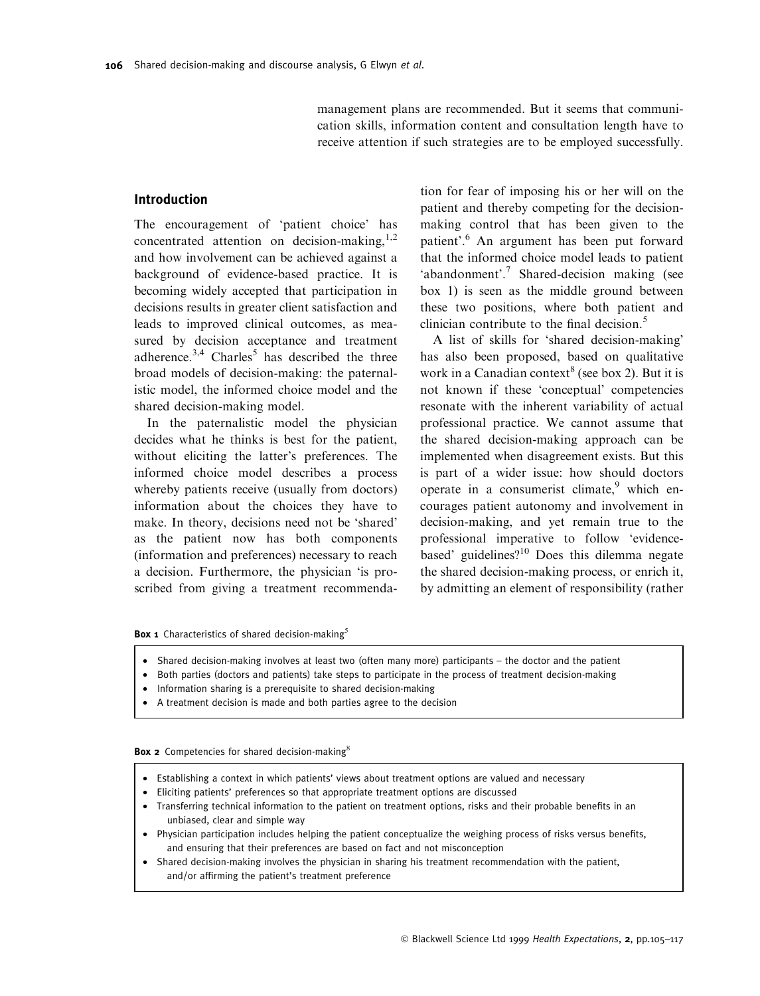management plans are recommended. But it seems that communication skills, information content and consultation length have to receive attention if such strategies are to be employed successfully.

## Introduction

The encouragement of 'patient choice' has concentrated attention on decision-making, $1,2$ and how involvement can be achieved against a background of evidence-based practice. It is becoming widely accepted that participation in decisions results in greater client satisfaction and leads to improved clinical outcomes, as measured by decision acceptance and treatment adherence. $3,4$  Charles<sup>5</sup> has described the three broad models of decision-making: the paternalistic model, the informed choice model and the shared decision-making model.

In the paternalistic model the physician decides what he thinks is best for the patient, without eliciting the latter's preferences. The informed choice model describes a process whereby patients receive (usually from doctors) information about the choices they have to make. In theory, decisions need not be `shared' as the patient now has both components (information and preferences) necessary to reach a decision. Furthermore, the physician 'is proscribed from giving a treatment recommendation for fear of imposing his or her will on the patient and thereby competing for the decisionmaking control that has been given to the patient'.6 An argument has been put forward that the informed choice model leads to patient `abandonment'.<sup>7</sup> Shared-decision making (see box 1) is seen as the middle ground between these two positions, where both patient and clinician contribute to the final decision. $5$ 

A list of skills for `shared decision-making' has also been proposed, based on qualitative work in a Canadian context<sup>8</sup> (see box 2). But it is not known if these `conceptual' competencies resonate with the inherent variability of actual professional practice. We cannot assume that the shared decision-making approach can be implemented when disagreement exists. But this is part of a wider issue: how should doctors operate in a consumerist climate, $9$  which encourages patient autonomy and involvement in decision-making, and yet remain true to the professional imperative to follow `evidencebased' guidelines?<sup>10</sup> Does this dilemma negate the shared decision-making process, or enrich it, by admitting an element of responsibility (rather

**Box 1** Characteristics of shared decision-making<sup>5</sup>

- Shared decision-making involves at least two (often many more) participants the doctor and the patient
- · Both parties (doctors and patients) take steps to participate in the process of treatment decision-making
- · Information sharing is a prerequisite to shared decision-making
- A treatment decision is made and both parties agree to the decision

**Box 2** Competencies for shared decision-making ${}^8$ 

- Establishing a context in which patients' views about treatment options are valued and necessary
- · Eliciting patients' preferences so that appropriate treatment options are discussed
- Transferring technical information to the patient on treatment options, risks and their probable benefits in an unbiased, clear and simple way
- Physician participation includes helping the patient conceptualize the weighing process of risks versus benefits, and ensuring that their preferences are based on fact and not misconception
- · Shared decision-making involves the physician in sharing his treatment recommendation with the patient, and/or affirming the patient's treatment preference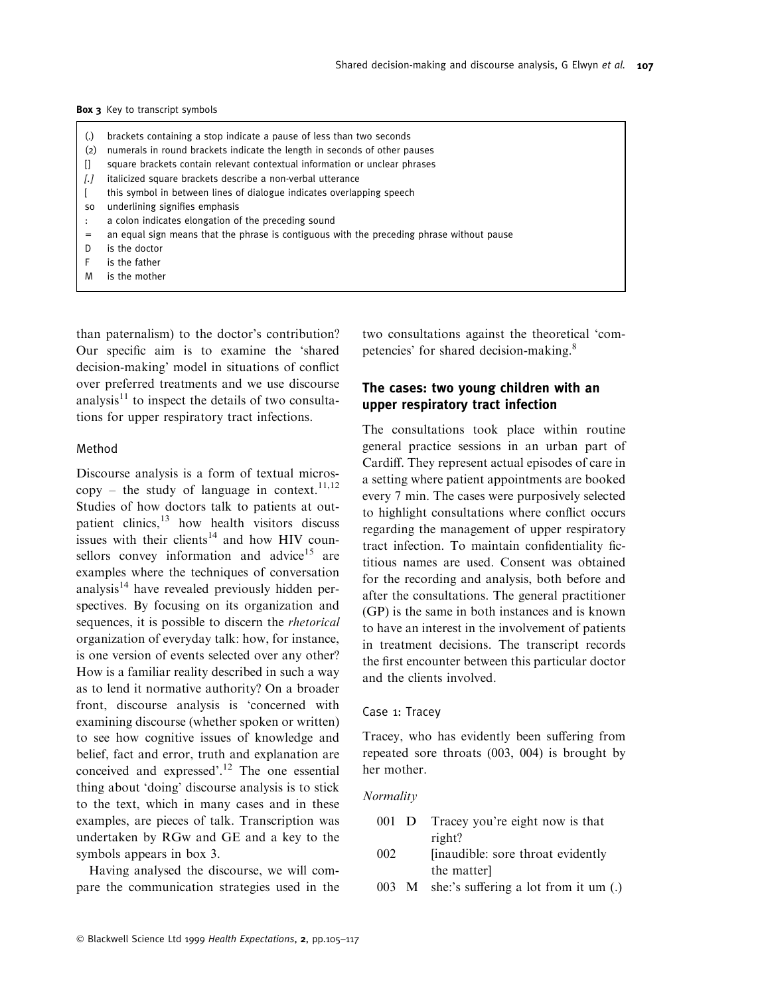- (.) brackets containing a stop indicate a pause of less than two seconds
- (2) numerals in round brackets indicate the length in seconds of other pauses
- [] square brackets contain relevant contextual information or unclear phrases
- [.] italicized square brackets describe a non-verbal utterance
- [ this symbol in between lines of dialogue indicates overlapping speech
- so underlining signifies emphasis
- : a colon indicates elongation of the preceding sound
- an equal sign means that the phrase is contiguous with the preceding phrase without pause
- D is the doctor
- is the father
- is the mother

than paternalism) to the doctor's contribution? Our specific aim is to examine the 'shared decision-making' model in situations of conflict over preferred treatments and we use discourse analysis $11$  to inspect the details of two consultations for upper respiratory tract infections.

#### Method

Discourse analysis is a form of textual micros $copy - the study of language in context.<sup>11,12</sup>$ Studies of how doctors talk to patients at outpatient clinics,<sup>13</sup> how health visitors discuss issues with their clients<sup>14</sup> and how HIV counsellors convey information and advice<sup>15</sup> are examples where the techniques of conversation analysis $14$  have revealed previously hidden perspectives. By focusing on its organization and sequences, it is possible to discern the rhetorical organization of everyday talk: how, for instance, is one version of events selected over any other? How is a familiar reality described in such a way as to lend it normative authority? On a broader front, discourse analysis is `concerned with examining discourse (whether spoken or written) to see how cognitive issues of knowledge and belief, fact and error, truth and explanation are conceived and expressed'.<sup>12</sup> The one essential thing about 'doing' discourse analysis is to stick to the text, which in many cases and in these examples, are pieces of talk. Transcription was undertaken by RGw and GE and a key to the symbols appears in box 3.

Having analysed the discourse, we will compare the communication strategies used in the two consultations against the theoretical `competencies' for shared decision-making.<sup>8</sup>

## The cases: two young children with an upper respiratory tract infection

The consultations took place within routine general practice sessions in an urban part of Cardiff. They represent actual episodes of care in a setting where patient appointments are booked every 7 min. The cases were purposively selected to highlight consultations where conflict occurs regarding the management of upper respiratory tract infection. To maintain confidentiality fictitious names are used. Consent was obtained for the recording and analysis, both before and after the consultations. The general practitioner (GP) is the same in both instances and is known to have an interest in the involvement of patients in treatment decisions. The transcript records the first encounter between this particular doctor and the clients involved.

## Case 1: Tracey

Tracey, who has evidently been suffering from repeated sore throats (003, 004) is brought by her mother.

#### Normality

- 001 D Tracey you're eight now is that right?
- 002 [inaudible: sore throat evidently the matter]
- 003 M she:'s suffering a lot from it um  $(.)$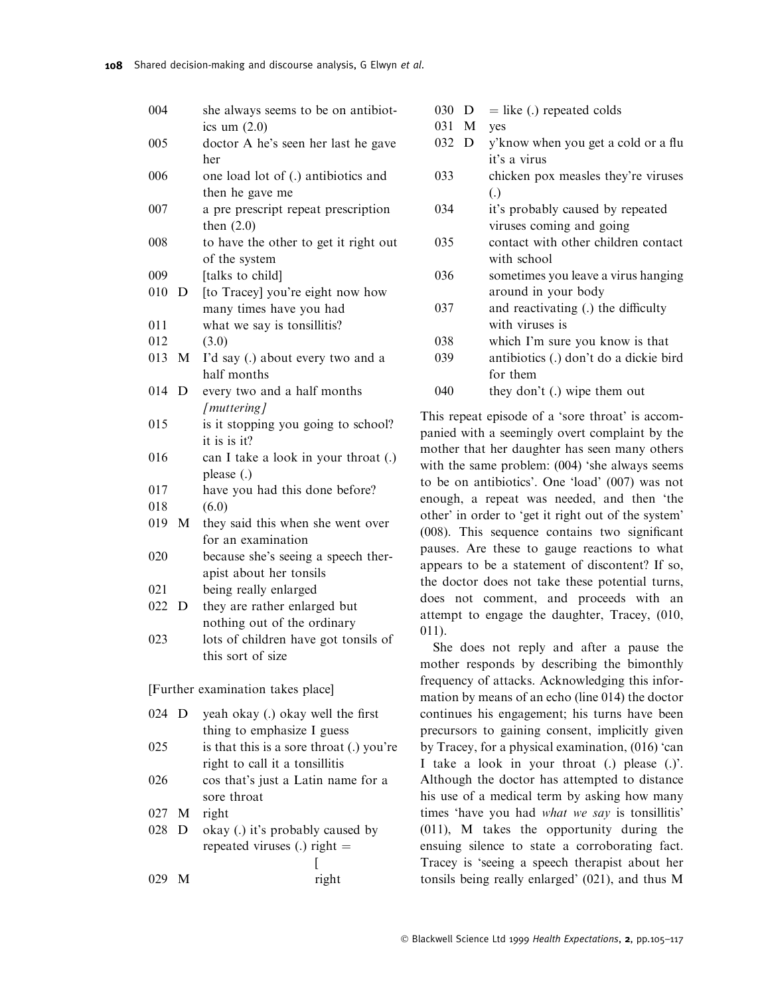| 004   |             | she always seems to be on antibiot-                    |
|-------|-------------|--------------------------------------------------------|
| 005   |             | ics um $(2.0)$<br>doctor A he's seen her last he gave  |
|       |             | her                                                    |
| 006   |             | one load lot of (.) antibiotics and<br>then he gave me |
| 007   |             | a pre prescript repeat prescription                    |
|       |             | then $(2.0)$                                           |
| 008   |             | to have the other to get it right out                  |
|       |             | of the system                                          |
| 009   |             | [talks to child]                                       |
| 010   | $\mathbf D$ | [to Tracey] you're eight now how                       |
|       |             | many times have you had                                |
| 011   |             | what we say is tonsillitis?                            |
| 012   |             | (3.0)                                                  |
| 013 M |             | I'd say (.) about every two and a<br>half months       |
| 014   | D           | every two and a half months                            |
|       |             |                                                        |
|       |             | [muttering]                                            |
| 015   |             | is it stopping you going to school?                    |
|       |             | it is is $it$ ?                                        |
| 016   |             | can I take a look in your throat (.)                   |
|       |             | please (.)                                             |
| 017   |             | have you had this done before?                         |
| 018   |             | (6.0)                                                  |
| 019 M |             | they said this when she went over                      |
|       |             | for an examination                                     |
| 020   |             | because she's seeing a speech ther-                    |
|       |             | apist about her tonsils                                |
| 021   |             | being really enlarged                                  |
| 022   | D           | they are rather enlarged but                           |
|       |             | nothing out of the ordinary                            |
| 023   |             | lots of children have got tonsils of                   |
|       |             | this sort of size                                      |
|       |             |                                                        |
|       |             | [Further examination takes place]                      |
| 024   | D           | yeah okay (.) okay well the first                      |
|       |             | thing to emphasize I guess                             |
| 025   |             | is that this is a sore throat (.) you're               |
|       |             | right to call it a tonsillitis                         |
| 026   |             | cos that's just a Latin name for a                     |
|       |             |                                                        |
|       |             | sore throat                                            |
| 027   |             | M right                                                |
| 028   | D           | okay (.) it's probably caused by                       |
|       |             | repeated viruses (.) right $=$                         |
|       |             | L                                                      |
| 029   | М           | right                                                  |

| 030 D |  |  | $=$ like (.) repeated colds |  |
|-------|--|--|-----------------------------|--|
|-------|--|--|-----------------------------|--|

| 031 | М | ves |
|-----|---|-----|
|-----|---|-----|

- $032$  D y'know when you get a cold or a flu it's a virus
- 033 chicken pox measles they're viruses (.)
- 034 it's probably caused by repeated viruses coming and going
- 035 contact with other children contact with school
- 036 sometimes you leave a virus hanging around in your body
- $037$  and reactivating (.) the difficulty with viruses is
- 038 which I'm sure you know is that
- 039 antibiotics (.) don't do a dickie bird for them
- 040 they don't (.) wipe them out

This repeat episode of a 'sore throat' is accompanied with a seemingly overt complaint by the mother that her daughter has seen many others with the same problem: (004) 'she always seems to be on antibiotics'. One `load' (007) was not enough, a repeat was needed, and then `the other' in order to `get it right out of the system'  $(008)$ . This sequence contains two significant pauses. Are these to gauge reactions to what appears to be a statement of discontent? If so, the doctor does not take these potential turns, does not comment, and proceeds with an attempt to engage the daughter, Tracey, (010, 011).

She does not reply and after a pause the mother responds by describing the bimonthly frequency of attacks. Acknowledging this information by means of an echo (line 014) the doctor continues his engagement; his turns have been precursors to gaining consent, implicitly given by Tracey, for a physical examination, (016) 'can I take a look in your throat (.) please (.)'. Although the doctor has attempted to distance his use of a medical term by asking how many times 'have you had what we say is tonsillitis' (011), M takes the opportunity during the ensuing silence to state a corroborating fact. Tracey is `seeing a speech therapist about her tonsils being really enlarged' (021), and thus M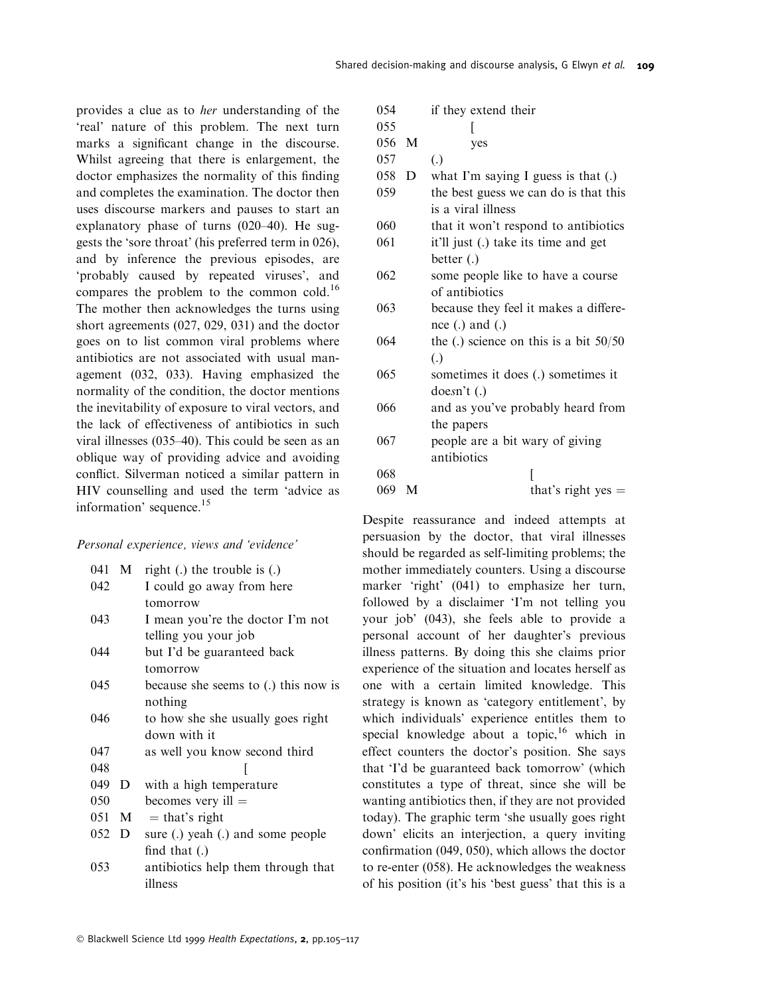provides a clue as to her understanding of the `real' nature of this problem. The next turn marks a significant change in the discourse. Whilst agreeing that there is enlargement, the doctor emphasizes the normality of this finding and completes the examination. The doctor then uses discourse markers and pauses to start an explanatory phase of turns  $(020-40)$ . He suggests the `sore throat' (his preferred term in 026), and by inference the previous episodes, are `probably caused by repeated viruses', and compares the problem to the common cold.<sup>16</sup> The mother then acknowledges the turns using short agreements (027, 029, 031) and the doctor goes on to list common viral problems where antibiotics are not associated with usual management (032, 033). Having emphasized the normality of the condition, the doctor mentions the inevitability of exposure to viral vectors, and the lack of effectiveness of antibiotics in such viral illnesses  $(035-40)$ . This could be seen as an oblique way of providing advice and avoiding conflict. Silverman noticed a similar pattern in HIV counselling and used the term `advice as information' sequence.<sup>15</sup>

Personal experience, views and `evidence'

| 041 | M | right $(.)$ the trouble is $(.)$     |
|-----|---|--------------------------------------|
| 042 |   | I could go away from here            |
|     |   | tomorrow                             |
| 043 |   | I mean you're the doctor I'm not     |
|     |   | telling you your job                 |
| 044 |   | but I'd be guaranteed back           |
|     |   | tomorrow                             |
| 045 |   | because she seems to (.) this now is |
|     |   | nothing                              |
| 046 |   | to how she she usually goes right    |
|     |   | down with it                         |
| 047 |   | as well you know second third        |
| 048 |   |                                      |
| 049 | D | with a high temperature              |
| 050 |   | becomes very ill $=$                 |
| 051 | M | $=$ that's right                     |
| 052 | D | sure (.) yeah (.) and some people    |
|     |   | find that $(.)$                      |
| 053 |   | antibiotics help them through that   |
|     |   | illness                              |

| 054 |   | if they extend their                     |
|-----|---|------------------------------------------|
| 055 |   |                                          |
| 056 | M | yes                                      |
| 057 |   | $\left( .\right)$                        |
| 058 | D | what I'm saying I guess is that $(.)$    |
| 059 |   | the best guess we can do is that this    |
|     |   | is a viral illness                       |
| 060 |   | that it won't respond to antibiotics     |
| 061 |   | it'll just (.) take its time and get     |
|     |   | better (.)                               |
| 062 |   | some people like to have a course        |
|     |   | of antibiotics                           |
| 063 |   | because they feel it makes a differe-    |
|     |   | nce $(.)$ and $(.)$                      |
| 064 |   | the (.) science on this is a bit $50/50$ |
|     |   | $\left( .\right)$                        |
| 065 |   | sometimes it does (.) sometimes it       |
|     |   | doesn't (.)                              |
| 066 |   | and as you've probably heard from        |
|     |   | the papers                               |
| 067 |   | people are a bit wary of giving          |
|     |   | antibiotics                              |
| 068 |   |                                          |
| 069 | M | that's right yes $=$                     |
|     |   |                                          |

Despite reassurance and indeed attempts at persuasion by the doctor, that viral illnesses should be regarded as self-limiting problems; the mother immediately counters. Using a discourse marker 'right' (041) to emphasize her turn, followed by a disclaimer 'I'm not telling you your job' (043), she feels able to provide a personal account of her daughter's previous illness patterns. By doing this she claims prior experience of the situation and locates herself as one with a certain limited knowledge. This strategy is known as 'category entitlement', by which individuals' experience entitles them to special knowledge about a topic,<sup>16</sup> which in effect counters the doctor's position. She says that `I'd be guaranteed back tomorrow' (which constitutes a type of threat, since she will be wanting antibiotics then, if they are not provided today). The graphic term `she usually goes right down' elicits an interjection, a query inviting confirmation  $(049, 050)$ , which allows the doctor to re-enter (058). He acknowledges the weakness of his position (it's his `best guess' that this is a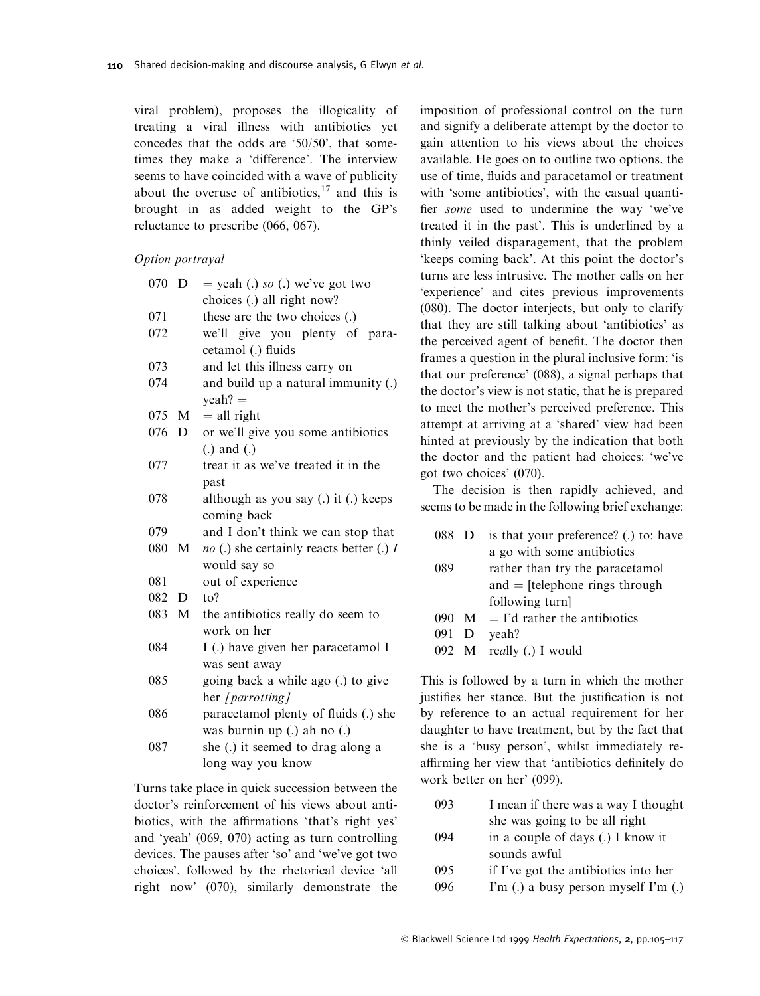viral problem), proposes the illogicality of treating a viral illness with antibiotics yet concedes that the odds are `50/50', that sometimes they make a `difference'. The interview seems to have coincided with a wave of publicity about the overuse of antibiotics, $17$  and this is brought in as added weight to the GP's reluctance to prescribe (066, 067).

#### Option portrayal

| 070 | D            | $=$ yeah (.) so (.) we've got two                 |
|-----|--------------|---------------------------------------------------|
|     |              | choices (.) all right now?                        |
| 071 |              | these are the two choices (.)                     |
| 072 |              | we'll give you plenty of para-                    |
|     |              | cetamol (.) fluids                                |
| 073 |              | and let this illness carry on                     |
| 074 |              | and build up a natural immunity (.)               |
|     |              | $\text{y}$ eah? =                                 |
| 075 | M            | $=$ all right                                     |
| 076 | D            | or we'll give you some antibiotics                |
|     |              | $(.)$ and $(.)$                                   |
| 077 |              | treat it as we've treated it in the               |
|     |              | past                                              |
| 078 |              | although as you say (.) it (.) keeps              |
|     |              | coming back                                       |
| 079 |              | and I don't think we can stop that                |
| 080 | M            | <i>no</i> (.) she certainly reacts better (.) $I$ |
|     |              | would say so                                      |
| 081 |              | out of experience                                 |
| 082 | D            | to?                                               |
| 083 | $\mathbf{M}$ | the antibiotics really do seem to                 |
|     |              | work on her                                       |
| 084 |              | I (.) have given her paracetamol I                |
|     |              | was sent away                                     |
| 085 |              | going back a while ago (.) to give                |
|     |              | her [parrotting]                                  |
| 086 |              | paracetamol plenty of fluids (.) she              |
|     |              | was burnin up (.) ah no (.)                       |
| 087 |              | she (.) it seemed to drag along a                 |
|     |              | long way you know                                 |

Turns take place in quick succession between the doctor's reinforcement of his views about antibiotics, with the affirmations 'that's right yes' and `yeah' (069, 070) acting as turn controlling devices. The pauses after `so' and `we've got two choices', followed by the rhetorical device `all right now' (070), similarly demonstrate the imposition of professional control on the turn and signify a deliberate attempt by the doctor to gain attention to his views about the choices available. He goes on to outline two options, the use of time, fluids and paracetamol or treatment with 'some antibiotics', with the casual quantifier *some* used to undermine the way 'we've treated it in the past'. This is underlined by a thinly veiled disparagement, that the problem `keeps coming back'. At this point the doctor's turns are less intrusive. The mother calls on her `experience' and cites previous improvements (080). The doctor interjects, but only to clarify that they are still talking about `antibiotics' as the perceived agent of benefit. The doctor then frames a question in the plural inclusive form: 'is that our preference' (088), a signal perhaps that the doctor's view is not static, that he is prepared to meet the mother's perceived preference. This attempt at arriving at a `shared' view had been hinted at previously by the indication that both the doctor and the patient had choices: `we've got two choices' (070).

The decision is then rapidly achieved, and seems to be made in the following brief exchange:

| is that your preference? (.) to: have |
|---------------------------------------|
| a go with some antibiotics            |
| rather than try the paracetamol       |
| and $=$ [telephone rings through      |
| following turn                        |
| 090 $M = I'd$ rather the antibiotics  |
| veah?                                 |
| 092 M really (.) I would              |
|                                       |

This is followed by a turn in which the mother justifies her stance. But the justification is not by reference to an actual requirement for her daughter to have treatment, but by the fact that she is a `busy person', whilst immediately reaffirming her view that 'antibiotics definitely do work better on her' (099).

| 093 | I mean if there was a way I thought |
|-----|-------------------------------------|
|     | she was going to be all right       |
| 094 | in a couple of days (.) I know it   |

- sounds awful
- 095 if I've got the antibiotics into her
- 096 I'm (.) a busy person myself I'm (.)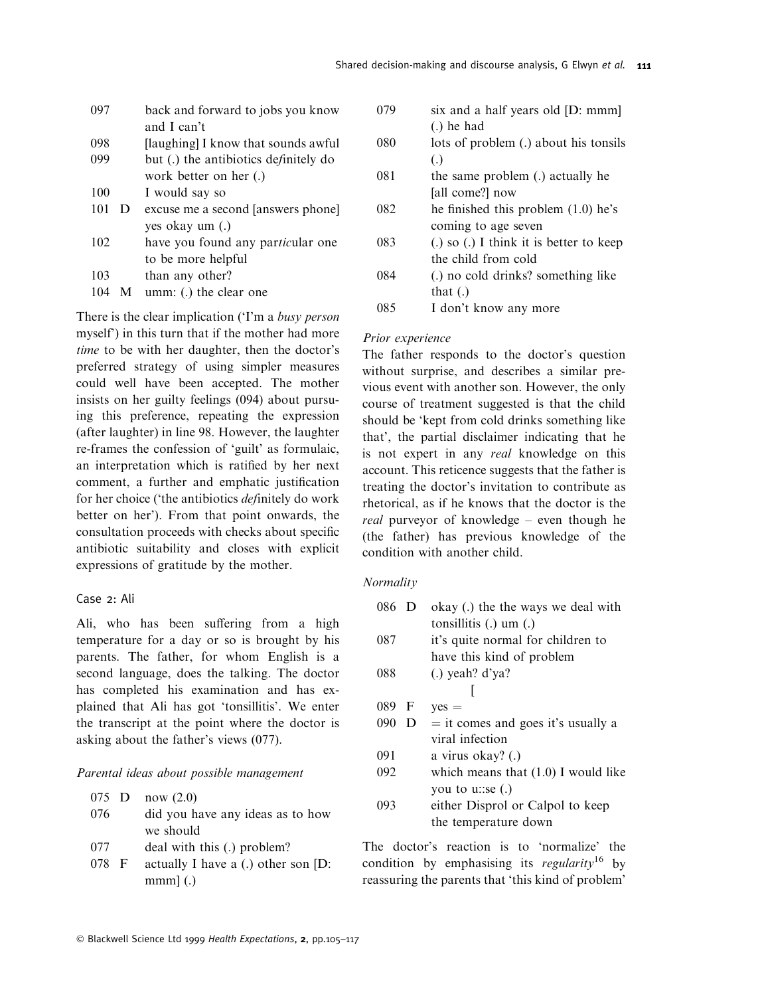| 097 |   | back and forward to jobs you know     |
|-----|---|---------------------------------------|
|     |   | and I can't                           |
| 098 |   | [laughing] I know that sounds awful   |
| 099 |   | but (.) the antibiotics definitely do |
|     |   | work better on her (.)                |
| 100 |   | I would say so                        |
| 101 | D | excuse me a second [answers phone]    |
|     |   | yes okay um (.)                       |
| 102 |   | have you found any particular one     |
|     |   | to be more helpful                    |
| 103 |   | than any other?                       |
| 104 | M | umm: (.) the clear one                |
|     |   |                                       |

There is the clear implication ('I'm a busy person myself') in this turn that if the mother had more time to be with her daughter, then the doctor's preferred strategy of using simpler measures could well have been accepted. The mother insists on her guilty feelings (094) about pursuing this preference, repeating the expression (after laughter) in line 98. However, the laughter re-frames the confession of `guilt' as formulaic, an interpretation which is ratified by her next comment, a further and emphatic justification for her choice ('the antibiotics *definitely* do work better on her'). From that point onwards, the consultation proceeds with checks about specific antibiotic suitability and closes with explicit expressions of gratitude by the mother.

#### Case 2: Ali

Ali, who has been suffering from a high temperature for a day or so is brought by his parents. The father, for whom English is a second language, does the talking. The doctor has completed his examination and has explained that Ali has got `tonsillitis'. We enter the transcript at the point where the doctor is asking about the father's views (077).

#### Parental ideas about possible management

 $075$  D  $n_{\text{out}}(2.0)$ 

|     | $UU = U$ 110 $W$ $(2.0)$         |
|-----|----------------------------------|
| 076 | did you have any ideas as to how |
|     | we should                        |

- 077 deal with this (.) problem?
- 078 F actually I have a (.) other son [D:  $mm<sub>l</sub>$  (.)

| 079 | six and a half years old [D: mmm]           |
|-----|---------------------------------------------|
|     | $(.)$ he had                                |
| 080 | lots of problem (.) about his tonsils       |
|     | $\left( .\right)$                           |
| 081 | the same problem (.) actually he            |
|     | [all come?] now                             |
| 082 | he finished this problem (1.0) he's         |
|     | coming to age seven                         |
| 083 | $(.)$ so $(.)$ I think it is better to keep |
|     | the child from cold                         |
| 084 | (.) no cold drinks? something like          |
|     | that $(.)$                                  |
|     | I don't know any more                       |
|     |                                             |

#### Prior experience

The father responds to the doctor's question without surprise, and describes a similar previous event with another son. However, the only course of treatment suggested is that the child should be `kept from cold drinks something like that', the partial disclaimer indicating that he is not expert in any real knowledge on this account. This reticence suggests that the father is treating the doctor's invitation to contribute as rhetorical, as if he knows that the doctor is the *real* purveyor of knowledge  $-\neq$  even though he (the father) has previous knowledge of the condition with another child.

#### Normality

| 086 D |   | okay (.) the the ways we deal with    |
|-------|---|---------------------------------------|
|       |   | tonsillitis $(.)$ um $(.)$            |
| 087   |   | it's quite normal for children to     |
|       |   | have this kind of problem             |
| 088   |   | $(.)$ yeah? d'ya?                     |
|       |   |                                       |
| 089 F |   | $yes =$                               |
| 090   | D | $=$ it comes and goes it's usually a  |
|       |   | viral infection                       |
| 091   |   | a virus okay? (.)                     |
| 092   |   | which means that $(1.0)$ I would like |
|       |   | you to u::se $(.)$                    |
| 093   |   | either Disprol or Calpol to keep      |
|       |   | the temperature down                  |
|       |   |                                       |

The doctor's reaction is to `normalize' the condition by emphasising its regularity<sup>16</sup> by reassuring the parents that 'this kind of problem'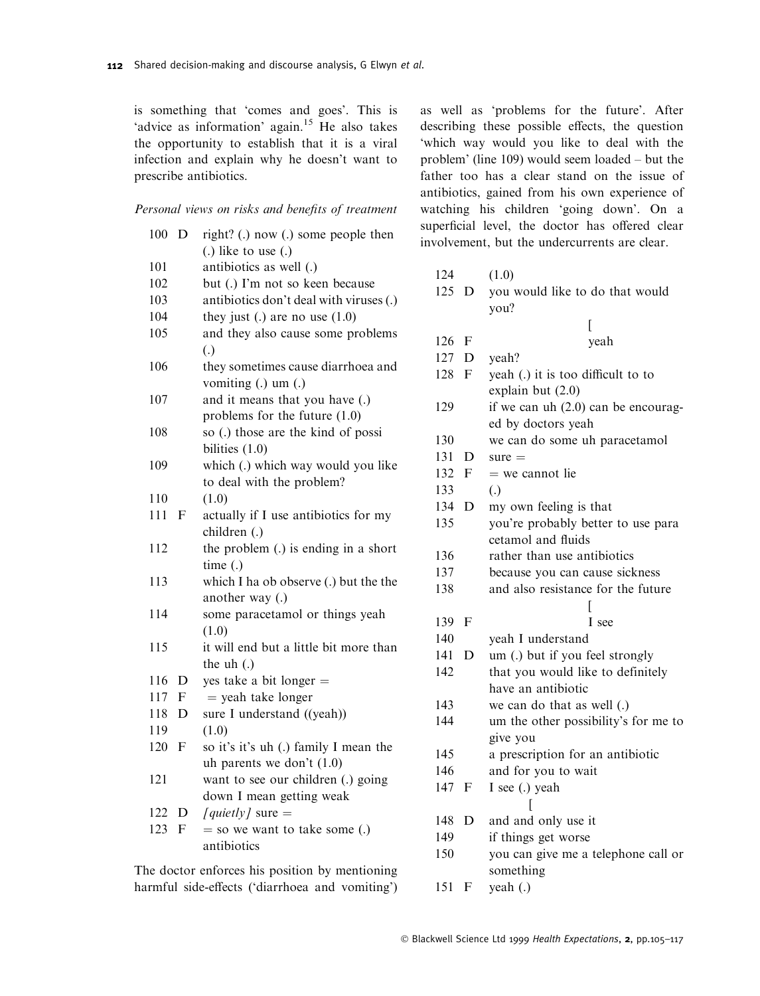is something that 'comes and goes'. This is 'advice as information' again.<sup>15</sup> He also takes the opportunity to establish that it is a viral infection and explain why he doesn't want to prescribe antibiotics.

#### Personal views on risks and benefits of treatment

| 100 | D           | right? (.) now (.) some people then     |
|-----|-------------|-----------------------------------------|
|     |             | $(.)$ like to use $(.)$                 |
| 101 |             | antibiotics as well (.)                 |
| 102 |             | but (.) I'm not so keen because         |
| 103 |             | antibiotics don't deal with viruses (.) |
| 104 |             | they just (.) are no use $(1.0)$        |
| 105 |             | and they also cause some problems       |
|     |             | $\left( .\right)$                       |
| 106 |             | they sometimes cause diarrhoea and      |
|     |             | vomiting (.) um (.)                     |
| 107 |             | and it means that you have (.)          |
|     |             | problems for the future (1.0)           |
| 108 |             | so (.) those are the kind of possi      |
|     |             | bilities $(1.0)$                        |
| 109 |             | which (.) which way would you like      |
|     |             | to deal with the problem?               |
| 110 |             | (1.0)                                   |
| 111 | F           | actually if I use antibiotics for my    |
|     |             | children (.)                            |
| 112 |             | the problem (.) is ending in a short    |
|     |             | time(.)                                 |
| 113 |             | which I ha ob observe (.) but the the   |
|     |             | another way (.)                         |
| 114 |             | some paracetamol or things yeah         |
|     |             | (1.0)                                   |
| 115 |             | it will end but a little bit more than  |
|     |             | the uh (.)                              |
| 116 | D           | yes take a bit longer $=$               |
| 117 | $\mathbf F$ | $=$ yeah take longer                    |
| 118 | D           | sure I understand ((yeah))              |
| 119 |             | (1.0)                                   |
| 120 | F           | so it's it's uh (.) family I mean the   |
|     |             | uh parents we don't $(1.0)$             |
| 121 |             | want to see our children (.) going      |
|     |             | down I mean getting weak                |
| 122 | D           | [quietly] sure $=$                      |
| 123 | F           | $=$ so we want to take some (.)         |
|     |             | antibiotics                             |
|     |             |                                         |

The doctor enforces his position by mentioning harmful side-effects ('diarrhoea and vomiting') as well as `problems for the future'. After describing these possible effects, the question `which way would you like to deal with the problem' (line 109) would seem loaded  $-$  but the father too has a clear stand on the issue of antibiotics, gained from his own experience of watching his children `going down'. On a superficial level, the doctor has offered clear involvement, but the undercurrents are clear.

| 124   |             | (1.0)                                |
|-------|-------------|--------------------------------------|
| 125 D |             | you would like to do that would      |
|       |             | you?                                 |
|       |             | I                                    |
| 126   | $\mathbf F$ | yeah                                 |
| 127   | D           | yeah?                                |
| 128   | F           | yeah (.) it is too difficult to to   |
|       |             | explain but (2.0)                    |
| 129   |             | if we can uh (2.0) can be encourag-  |
|       |             | ed by doctors yeah                   |
| 130   |             | we can do some uh paracetamol        |
| 131   | D           | $sure =$                             |
| 132   | F           | $=$ we cannot lie                    |
| 133   |             | $\left( .\right)$                    |
| 134   | D           | my own feeling is that               |
| 135   |             | you're probably better to use para   |
|       |             | cetamol and fluids                   |
| 136   |             | rather than use antibiotics          |
| 137   |             | because you can cause sickness       |
| 138   |             | and also resistance for the future   |
|       |             |                                      |
| 139   | F           | I see                                |
| 140   |             | yeah I understand                    |
| 141   | D           | um (.) but if you feel strongly      |
| 142   |             | that you would like to definitely    |
|       |             | have an antibiotic                   |
| 143   |             | we can do that as well (.)           |
| 144   |             | um the other possibility's for me to |
|       |             | give you                             |
| 145   |             | a prescription for an antibiotic     |
| 146   |             | and for you to wait                  |
| 147   | F           | I see (.) yeah                       |
|       |             | L                                    |
| 148   | D           | and and only use it                  |
| 149   |             | if things get worse                  |
| 150   |             | you can give me a telephone call or  |
|       |             | something                            |
| 151   | F           | yeah (.)                             |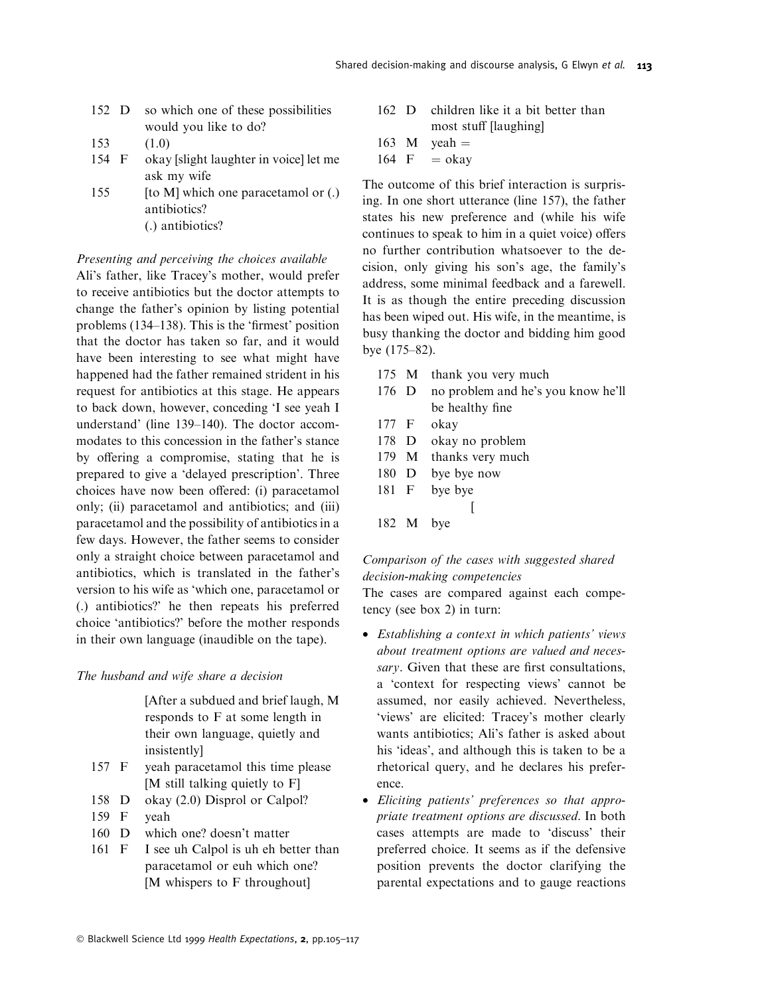- 152 D so which one of these possibilities would you like to do?
- 153 (1.0)
- 154 F okay [slight laughter in voice] let me ask my wife
- 155 [to M] which one paracetamol or (.) antibiotics? (.) antibiotics?

### Presenting and perceiving the choices available

Ali's father, like Tracey's mother, would prefer to receive antibiotics but the doctor attempts to change the father's opinion by listing potential problems  $(134–138)$ . This is the 'firmest' position that the doctor has taken so far, and it would have been interesting to see what might have happened had the father remained strident in his request for antibiotics at this stage. He appears to back down, however, conceding `I see yeah I understand' (line 139-140). The doctor accommodates to this concession in the father's stance by offering a compromise, stating that he is prepared to give a 'delayed prescription'. Three choices have now been offered: (i) paracetamol only; (ii) paracetamol and antibiotics; and (iii) paracetamol and the possibility of antibiotics in a few days. However, the father seems to consider only a straight choice between paracetamol and antibiotics, which is translated in the father's version to his wife as `which one, paracetamol or (.) antibiotics?' he then repeats his preferred choice `antibiotics?' before the mother responds in their own language (inaudible on the tape).

### The husband and wife share a decision

[After a subdued and brief laugh, M responds to F at some length in their own language, quietly and insistently]

- 157 F yeah paracetamol this time please [M still talking quietly to F]
- 158 D okay (2.0) Disprol or Calpol?
- 159 F yeah
- 160 D which one? doesn't matter
- 161 F I see uh Calpol is uh eh better than paracetamol or euh which one? [M whispers to F throughout]
- 162 D children like it a bit better than most stuff [laughing]
- 163 M yeah =  $164 \text{ F}$  = okav
- $=$  okay

The outcome of this brief interaction is surprising. In one short utterance (line 157), the father states his new preference and (while his wife continues to speak to him in a quiet voice) offers no further contribution whatsoever to the decision, only giving his son's age, the family's address, some minimal feedback and a farewell. It is as though the entire preceding discussion has been wiped out. His wife, in the meantime, is busy thanking the doctor and bidding him good bye  $(175-82)$ .

- 175 M thank you very much
- 176 D no problem and he's you know he'll be healthy fine
- 177 F okay
- 178 D okay no problem
- 179 M thanks very much
- 180 D bye bye now
- 181 F bye bye
- 
- 182 M bye

## Comparison of the cases with suggested shared decision-making competencies

 $\lceil$ 

The cases are compared against each competency (see box 2) in turn:

- Establishing a context in which patients' views about treatment options are valued and necessary. Given that these are first consultations, a `context for respecting views' cannot be assumed, nor easily achieved. Nevertheless, `views' are elicited: Tracey's mother clearly wants antibiotics; Ali's father is asked about his 'ideas', and although this is taken to be a rhetorical query, and he declares his preference.
- · Eliciting patients' preferences so that appropriate treatment options are discussed. In both cases attempts are made to `discuss' their preferred choice. It seems as if the defensive position prevents the doctor clarifying the parental expectations and to gauge reactions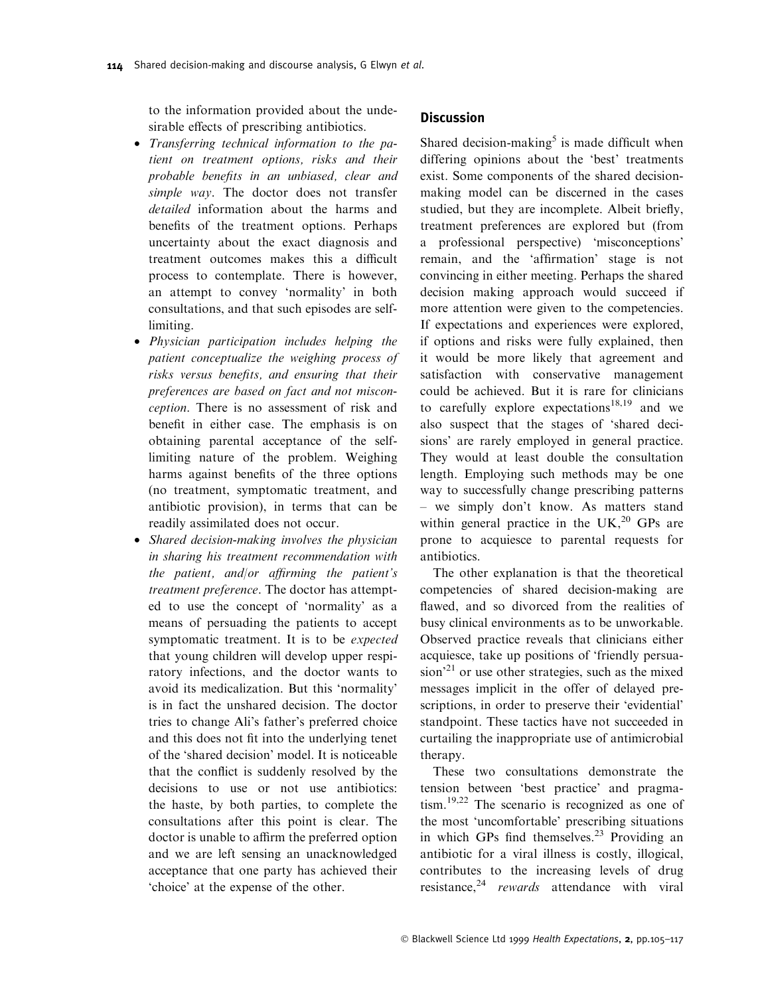to the information provided about the undesirable effects of prescribing antibiotics.

- · Transferring technical information to the patient on treatment options, risks and their probable benefits in an unbiased, clear and simple way. The doctor does not transfer detailed information about the harms and benefits of the treatment options. Perhaps uncertainty about the exact diagnosis and treatment outcomes makes this a difficult process to contemplate. There is however, an attempt to convey `normality' in both consultations, and that such episodes are selflimiting.
- · Physician participation includes helping the patient conceptualize the weighing process of risks versus benefits, and ensuring that their preferences are based on fact and not misconception. There is no assessment of risk and benefit in either case. The emphasis is on obtaining parental acceptance of the selflimiting nature of the problem. Weighing harms against benefits of the three options (no treatment, symptomatic treatment, and antibiotic provision), in terms that can be readily assimilated does not occur.
- · Shared decision-making involves the physician in sharing his treatment recommendation with the patient, and/or affirming the patient's treatment preference. The doctor has attempted to use the concept of `normality' as a means of persuading the patients to accept symptomatic treatment. It is to be expected that young children will develop upper respiratory infections, and the doctor wants to avoid its medicalization. But this `normality' is in fact the unshared decision. The doctor tries to change Ali's father's preferred choice and this does not fit into the underlying tenet of the `shared decision' model. It is noticeable that the conflict is suddenly resolved by the decisions to use or not use antibiotics: the haste, by both parties, to complete the consultations after this point is clear. The doctor is unable to affirm the preferred option and we are left sensing an unacknowledged acceptance that one party has achieved their `choice' at the expense of the other.

#### **Discussion**

Shared decision-making<sup>5</sup> is made difficult when differing opinions about the `best' treatments exist. Some components of the shared decisionmaking model can be discerned in the cases studied, but they are incomplete. Albeit briefly, treatment preferences are explored but (from a professional perspective) `misconceptions' remain, and the 'affirmation' stage is not convincing in either meeting. Perhaps the shared decision making approach would succeed if more attention were given to the competencies. If expectations and experiences were explored, if options and risks were fully explained, then it would be more likely that agreement and satisfaction with conservative management could be achieved. But it is rare for clinicians to carefully explore expectations<sup>18,19</sup> and we also suspect that the stages of `shared decisions' are rarely employed in general practice. They would at least double the consultation length. Employing such methods may be one way to successfully change prescribing patterns - we simply don't know. As matters stand within general practice in the UK, $^{20}$  GPs are prone to acquiesce to parental requests for antibiotics.

The other explanation is that the theoretical competencies of shared decision-making are flawed, and so divorced from the realities of busy clinical environments as to be unworkable. Observed practice reveals that clinicians either acquiesce, take up positions of 'friendly persua- $\sin^{21}$  or use other strategies, such as the mixed messages implicit in the offer of delayed prescriptions, in order to preserve their `evidential' standpoint. These tactics have not succeeded in curtailing the inappropriate use of antimicrobial therapy.

These two consultations demonstrate the tension between `best practice' and pragmatism.19,22 The scenario is recognized as one of the most `uncomfortable' prescribing situations in which GPs find themselves.<sup>23</sup> Providing an antibiotic for a viral illness is costly, illogical, contributes to the increasing levels of drug resistance,<sup>24</sup> rewards attendance with viral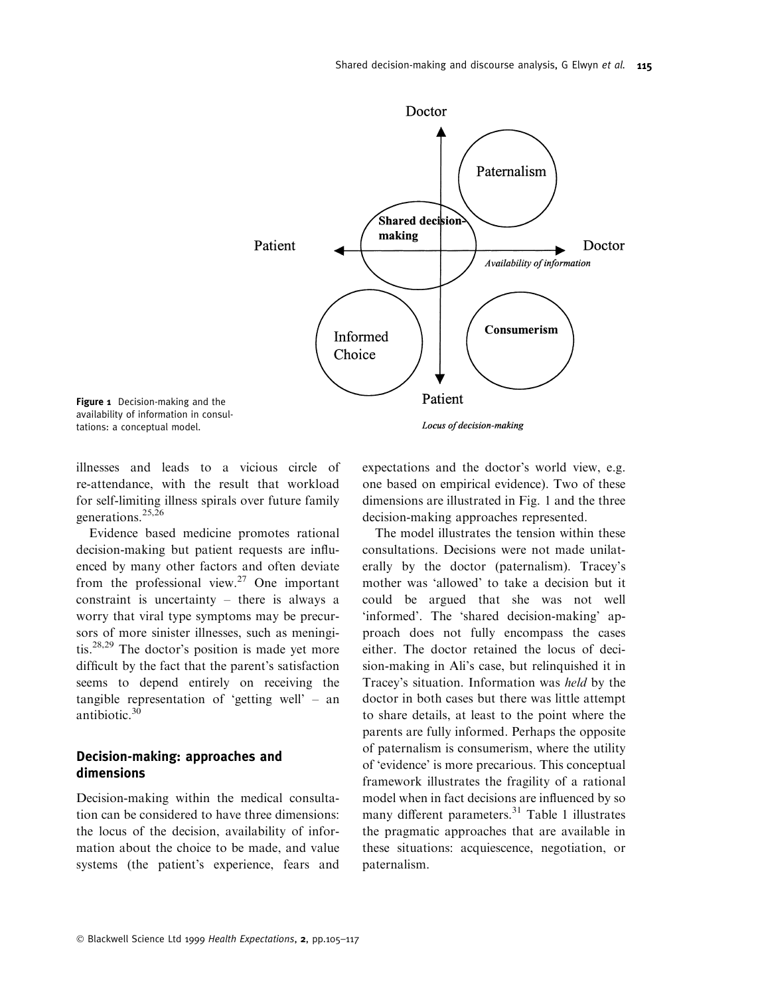

Figure 1 Decision-making and the availability of information in consultations: a conceptual model.

illnesses and leads to a vicious circle of re-attendance, with the result that workload for self-limiting illness spirals over future family generations.<sup>25,26</sup>

Evidence based medicine promotes rational decision-making but patient requests are influenced by many other factors and often deviate from the professional view.<sup>27</sup> One important constraint is uncertainty  $-$  there is always a worry that viral type symptoms may be precursors of more sinister illnesses, such as meningitis.<sup>28,29</sup> The doctor's position is made yet more difficult by the fact that the parent's satisfaction seems to depend entirely on receiving the tangible representation of 'getting well'  $-$  and antibiotic.<sup>30</sup>

### Decision-making: approaches and dimensions

Decision-making within the medical consultation can be considered to have three dimensions: the locus of the decision, availability of information about the choice to be made, and value systems (the patient's experience, fears and

expectations and the doctor's world view, e.g. one based on empirical evidence). Two of these dimensions are illustrated in Fig. 1 and the three decision-making approaches represented.

The model illustrates the tension within these consultations. Decisions were not made unilaterally by the doctor (paternalism). Tracey's mother was 'allowed' to take a decision but it could be argued that she was not well `informed'. The `shared decision-making' approach does not fully encompass the cases either. The doctor retained the locus of decision-making in Ali's case, but relinquished it in Tracey's situation. Information was held by the doctor in both cases but there was little attempt to share details, at least to the point where the parents are fully informed. Perhaps the opposite of paternalism is consumerism, where the utility of `evidence' is more precarious. This conceptual framework illustrates the fragility of a rational model when in fact decisions are influenced by so many different parameters.<sup>31</sup> Table 1 illustrates the pragmatic approaches that are available in these situations: acquiescence, negotiation, or paternalism.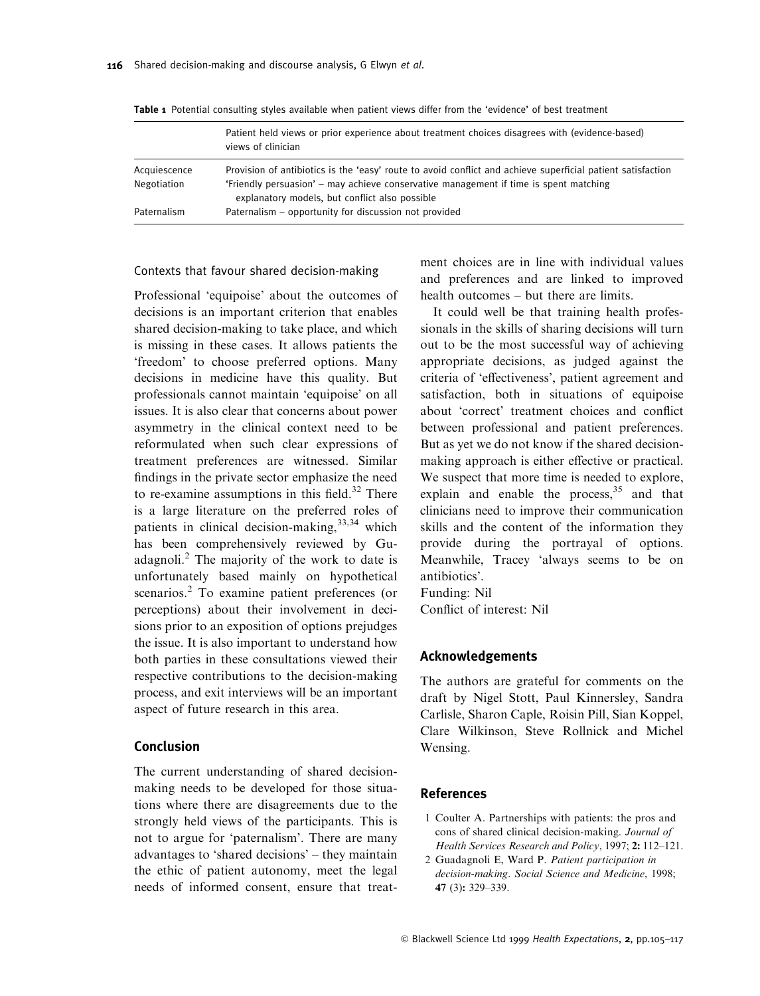|              | Patient held views or prior experience about treatment choices disagrees with (evidence-based)<br>views of clinician                    |
|--------------|-----------------------------------------------------------------------------------------------------------------------------------------|
| Acquiescence | Provision of antibiotics is the 'easy' route to avoid conflict and achieve superficial patient satisfaction                             |
| Negotiation  | 'Friendly persuasion' – may achieve conservative management if time is spent matching<br>explanatory models, but conflict also possible |
| Paternalism  | Paternalism – opportunity for discussion not provided                                                                                   |

Table 1 Potential consulting styles available when patient views differ from the 'evidence' of best treatment

## Contexts that favour shared decision-making

Professional `equipoise' about the outcomes of decisions is an important criterion that enables shared decision-making to take place, and which is missing in these cases. It allows patients the `freedom' to choose preferred options. Many decisions in medicine have this quality. But professionals cannot maintain `equipoise' on all issues. It is also clear that concerns about power asymmetry in the clinical context need to be reformulated when such clear expressions of treatment preferences are witnessed. Similar findings in the private sector emphasize the need to re-examine assumptions in this field. $32$  There is a large literature on the preferred roles of patients in clinical decision-making, <sup>33,34</sup> which has been comprehensively reviewed by Guadagnoli.<sup>2</sup> The majority of the work to date is unfortunately based mainly on hypothetical scenarios.<sup>2</sup> To examine patient preferences (or perceptions) about their involvement in decisions prior to an exposition of options prejudges the issue. It is also important to understand how both parties in these consultations viewed their respective contributions to the decision-making process, and exit interviews will be an important aspect of future research in this area.

### Conclusion

The current understanding of shared decisionmaking needs to be developed for those situations where there are disagreements due to the strongly held views of the participants. This is not to argue for `paternalism'. There are many advantages to 'shared decisions'  $-$  they maintain the ethic of patient autonomy, meet the legal needs of informed consent, ensure that treatment choices are in line with individual values and preferences and are linked to improved health outcomes  $-$  but there are limits.

It could well be that training health professionals in the skills of sharing decisions will turn out to be the most successful way of achieving appropriate decisions, as judged against the criteria of 'effectiveness', patient agreement and satisfaction, both in situations of equipoise about 'correct' treatment choices and conflict between professional and patient preferences. But as yet we do not know if the shared decisionmaking approach is either effective or practical. We suspect that more time is needed to explore, explain and enable the process,  $35$  and that clinicians need to improve their communication skills and the content of the information they provide during the portrayal of options. Meanwhile, Tracey `always seems to be on antibiotics'.

Funding: Nil Conflict of interest: Nil

#### Acknowledgements

The authors are grateful for comments on the draft by Nigel Stott, Paul Kinnersley, Sandra Carlisle, Sharon Caple, Roisin Pill, Sian Koppel, Clare Wilkinson, Steve Rollnick and Michel Wensing.

#### References

- 1 Coulter A. Partnerships with patients: the pros and cons of shared clinical decision-making. Journal of Health Services Research and Policy, 1997; 2: 112-121.
- 2 Guadagnoli E, Ward P. Patient participation in decision-making. Social Science and Medicine, 1998; 47 (3): 329-339.